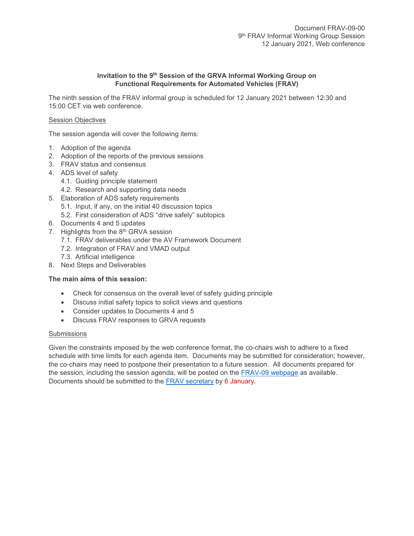# **Invitation to the 9 th Session of the GRVA Informal Working Group on Functional Requirements for Automated Vehicles (FRAV)**

The ninth session of the FRAV informal group is scheduled for 12 January 2021 between 12:30 and 15:00 CET via web conference.

# Session Objectives

The session agenda will cover the following items:

- 1. Adoption of the agenda
- 2. Adoption of the reports of the previous sessions
- 3. FRAV status and consensus
- 4. ADS level of safety
	- 4.1. Guiding principle statement
	- 4.2. Research and supporting data needs
- 5. Elaboration of ADS safety requirements
	- 5.1. Input, if any, on the initial 40 discussion topics
	- 5.2. First consideration of ADS "drive safely" subtopics
- 6. Documents 4 and 5 updates
- 7. Highlights from the 8<sup>th</sup> GRVA session
	- 7.1. FRAV deliverables under the AV Framework Document
	- 7.2. Integration of FRAV and VMAD output
	- 7.3. Artificial intelligence
- 8. Next Steps and Deliverables

### **The main aims of this session:**

- Check for consensus on the overall level of safety guiding principle
- Discuss initial safety topics to solicit views and questions
- Consider updates to Documents 4 and 5
- Discuss FRAV responses to GRVA requests

### **Submissions**

Given the constraints imposed by the web conference format, the co-chairs wish to adhere to a fixed schedule with time limits for each agenda item. Documents may be submitted for consideration; however, the co-chairs may need to postpone their presentation to a future session. All documents prepared for the session, including the session agenda, will be posted on the [FRAV-09](https://wiki.unece.org/display/trans/FRAV+9th+session) webpage as available. Documents should be submitted to the [FRAV secretary](mailto:jcreamer@americanautocouncil.org) by 6 January.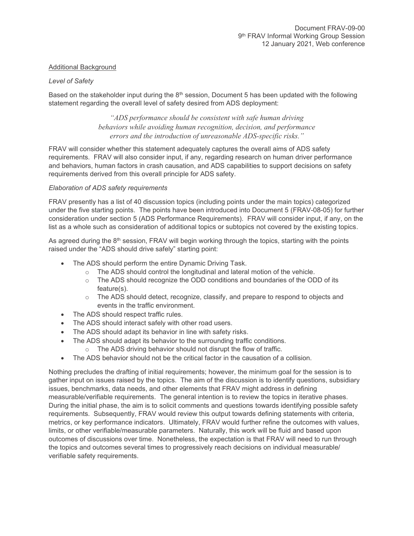# Additional Background

### *Level of Safety*

Based on the stakeholder input during the  $8<sup>th</sup>$  session, Document 5 has been updated with the following statement regarding the overall level of safety desired from ADS deployment:

> *"ADS performance should be consistent with safe human driving behaviors while avoiding human recognition, decision, and performance errors and the introduction of unreasonable ADS-specific risks."*

FRAV will consider whether this statement adequately captures the overall aims of ADS safety requirements. FRAV will also consider input, if any, regarding research on human driver performance and behaviors, human factors in crash causation, and ADS capabilities to support decisions on safety requirements derived from this overall principle for ADS safety.

### *Elaboration of ADS safety requirements*

FRAV presently has a list of 40 discussion topics (including points under the main topics) categorized under the five starting points. The points have been introduced into Document 5 (FRAV-08-05) for further consideration under section 5 (ADS Performance Requirements). FRAV will consider input, if any, on the list as a whole such as consideration of additional topics or subtopics not covered by the existing topics.

As agreed during the  $8<sup>th</sup>$  session, FRAV will begin working through the topics, starting with the points raised under the "ADS should drive safely" starting point:

- The ADS should perform the entire Dynamic Driving Task.
	- o The ADS should control the longitudinal and lateral motion of the vehicle.
	- $\circ$  The ADS should recognize the ODD conditions and boundaries of the ODD of its feature(s).
	- o The ADS should detect, recognize, classify, and prepare to respond to objects and events in the traffic environment.
- The ADS should respect traffic rules.
- The ADS should interact safely with other road users.
- The ADS should adapt its behavior in line with safety risks.
- The ADS should adapt its behavior to the surrounding traffic conditions.
	- o The ADS driving behavior should not disrupt the flow of traffic.
- The ADS behavior should not be the critical factor in the causation of a collision.

Nothing precludes the drafting of initial requirements; however, the minimum goal for the session is to gather input on issues raised by the topics. The aim of the discussion is to identify questions, subsidiary issues, benchmarks, data needs, and other elements that FRAV might address in defining measurable/verifiable requirements. The general intention is to review the topics in iterative phases. During the initial phase, the aim is to solicit comments and questions towards identifying possible safety requirements. Subsequently, FRAV would review this output towards defining statements with criteria, metrics, or key performance indicators. Ultimately, FRAV would further refine the outcomes with values, limits, or other verifiable/measurable parameters. Naturally, this work will be fluid and based upon outcomes of discussions over time. Nonetheless, the expectation is that FRAV will need to run through the topics and outcomes several times to progressively reach decisions on individual measurable/ verifiable safety requirements.